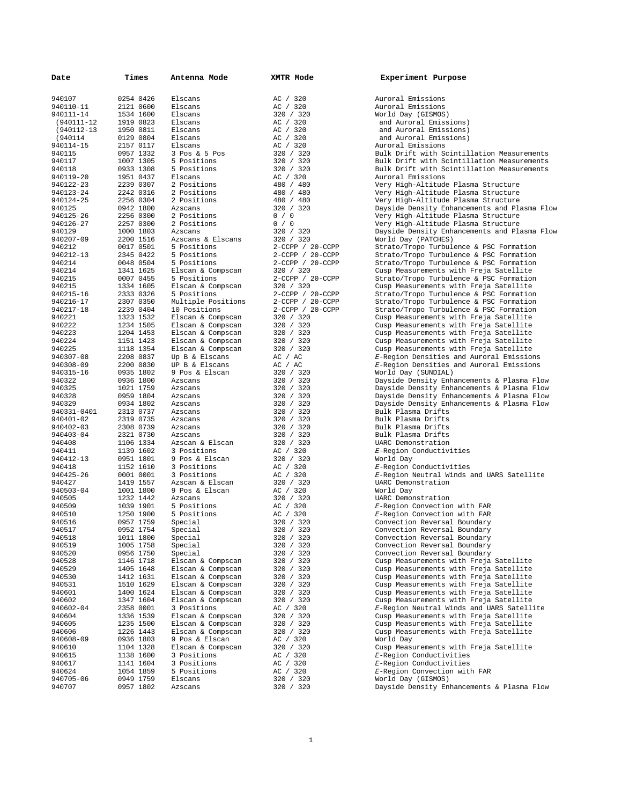| Date        | Times     | Antenna Mode       | XMTR Mode              | Experiment Purpose                                                                |
|-------------|-----------|--------------------|------------------------|-----------------------------------------------------------------------------------|
| 940107      | 0254 0426 | Elscans            | AC / 320               | Auroral Emissions                                                                 |
|             |           |                    |                        |                                                                                   |
| 940110-11   | 2121 0600 | Elscans            | AC / 320               | Auroral Emissions                                                                 |
| 940111-14   | 1534 1600 | Elscans            | 320 / 320              | World Day (GISMOS)                                                                |
| (940111-12  | 1919 0823 | Elscans            | AC / 320               | and Auroral Emissions)                                                            |
| (940112-13  | 1950 0811 | Elscans            | AC / 320               | and Auroral Emissions)                                                            |
| (940114     | 0129 0804 | Elscans            | AC / 320               | and Auroral Emissions)                                                            |
| 940114-15   | 2157 0117 | Elscans            | AC / 320               | Auroral Emissions                                                                 |
| 940115      | 0957 1332 | 3 Pos & 5 Pos      | 320 / 320              | Bulk Drift with Scintillation Measurements                                        |
| 940117      | 1007 1305 | 5 Positions        | 320 / 320              | Bulk Drift with Scintillation Measurements                                        |
| 940118      | 0933 1308 | 5 Positions        | 320 / 320              | Bulk Drift with Scintillation Measurements                                        |
| 940119-20   | 1951 0437 | Elscans            | AC / 320               | Auroral Emissions                                                                 |
| 940122-23   | 2239 0307 | 2 Positions        | 480 / 480              | Very High-Altitude Plasma Structure                                               |
| 940123-24   | 2242 0316 | 2 Positions        | 480 / 480              | Very High-Altitude Plasma Structure                                               |
| 940124-25   | 2256 0304 | 2 Positions        | 480 / 480              | Very High-Altitude Plasma Structure                                               |
| 940125      | 0942 1800 | Azscans            | 320 / 320              | Dayside Density Enhancements and Plasma Fl                                        |
| 940125-26   | 2256 0300 | 2 Positions        | 0 / 0                  | Very High-Altitude Plasma Structure                                               |
| 940126-27   | 2257 0300 | 2 Positions        | 0 / 0                  | Very High-Altitude Plasma Structure                                               |
| 940129      | 1000 1803 | Azscans            | 320 / 320              | Dayside Density Enhancements and Plasma Fl                                        |
| 940207-09   | 2200 1516 | Azscans & Elscans  | 320 / 320              | World Day (PATCHES)                                                               |
| 940212      | 0017 0501 | 5 Positions        | 2-CCPP / 20-CCPP       | Strato/Tropo Turbulence & PSC Formation                                           |
| 940212-13   | 2345 0422 | 5 Positions        | $2$ -CCPP / $20$ -CCPP | Strato/Tropo Turbulence & PSC Formation                                           |
| 940214      | 0048 0504 | 5 Positions        | 2-CCPP / 20-CCPP       | Strato/Tropo Turbulence & PSC Formation                                           |
| 940214      | 1341 1625 | Elscan & Compscan  | 320 / 320              | Cusp Measurements with Freja Satellite                                            |
| 940215      | 0007 0455 |                    | 2-CCPP / 20-CCPP       |                                                                                   |
|             |           | 5 Positions        |                        | Strato/Tropo Turbulence & PSC Formation<br>Cusp Measurements with Freja Satellite |
| 940215      | 1334 1605 | Elscan & Compscan  | 320 / 320              |                                                                                   |
| 940215-16   | 2333 0326 | 5 Positions        | $2$ -CCPP / $20$ -CCPP | Strato/Tropo Turbulence & PSC Formation                                           |
| 940216-17   | 2307 0350 | Multiple Positions | $2$ -CCPP / $20$ -CCPP | Strato/Tropo Turbulence & PSC Formation                                           |
| 940217-18   | 2239 0404 | 10 Positions       | 2-CCPP / 20-CCPP       | Strato/Tropo Turbulence & PSC Formation                                           |
| 940221      | 1323 1532 | Elscan & Compscan  | 320 / 320              | Cusp Measurements with Freja Satellite                                            |
| 940222      | 1234 1505 | Elscan & Compscan  | 320 / 320              | Cusp Measurements with Freja Satellite                                            |
| 940223      | 1204 1453 | Elscan & Compscan  | 320 / 320              | Cusp Measurements with Freja Satellite                                            |
| 940224      | 1151 1423 | Elscan & Compscan  | 320 / 320              | Cusp Measurements with Freja Satellite                                            |
| 940225      | 1118 1354 | Elscan & Compscan  | 320 / 320              | Cusp Measurements with Freja Satellite                                            |
| 940307-08   | 2208 0837 | Up B & Elscans     | AC / AC                | E-Region Densities and Auroral Emissions                                          |
| 940308-09   | 2200 0830 | UP B & Elscans     | AC / AC                | E-Region Densities and Auroral Emissions                                          |
| 940315-16   | 0935 1802 | 9 Pos & Elscan     | 320 / 320              | World Day (SUNDIAL)                                                               |
| 940322      | 0936 1800 | Azscans            | 320 / 320              | Dayside Density Enhancements & Plasma Flow                                        |
| 940325      | 1021 1759 | Azscans            | 320 / 320              | Dayside Density Enhancements & Plasma Flow                                        |
| 940328      | 0959 1804 | Azscans            | 320 / 320              | Dayside Density Enhancements & Plasma Flow                                        |
| 940329      | 0934 1802 | Azscans            | 320 / 320              | Dayside Density Enhancements & Plasma Flow                                        |
| 940331-0401 | 2313 0737 | Azscans            | 320 / 320              | Bulk Plasma Drifts                                                                |
| 940401-02   | 2319 0735 | Azscans            | 320 / 320              | Bulk Plasma Drifts                                                                |
| 940402-03   | 2308 0739 | Azscans            | 320 / 320              | Bulk Plasma Drifts                                                                |
| 940403-04   | 2321 0730 | Azscans            | 320 / 320              | Bulk Plasma Drifts                                                                |
| 940408      | 1106 1334 | Azscan & Elscan    | 320 / 320              | UARC Demonstration                                                                |
| 940411      | 1139 1602 | 3 Positions        | AC / 320               | E-Region Conductivities                                                           |
| 940412-13   | 0951 1801 | 9 Pos & Elscan     | 320 / 320              | World Day                                                                         |
| 940418      | 1152 1610 | 3 Positions        | AC / 320               | E-Region Conductivities                                                           |
| 940425-26   | 0001 0001 | 3 Positions        | AC / 320               | E-Region Neutral Winds and UARS Satellite                                         |
| 940427      | 1419 1557 | Azscan & Elscan    | 320 / 320              | UARC Demonstration                                                                |
| 940503-04   | 1001 1800 | 9 Pos & Elscan     | AC / 320               | World Day                                                                         |
| 940505      | 1232 1442 |                    |                        |                                                                                   |
|             |           | Azscans            | 320 / 320              | UARC Demonstration                                                                |
| 940509      | 1039 1901 | 5 Positions        | AC / 320               | E-Region Convection with FAR                                                      |
| 940510      | 1250 1900 | 5 Positions        | AC / 320               | E-Region Convection with FAR                                                      |
| 940516      | 0957 1759 | Special            | 320 / 320              | Convection Reversal Boundary                                                      |
| 940517      | 0952 1754 | Special            | 320 / 320              | Convection Reversal Boundary                                                      |
| 940518      | 1011 1800 | Special            | 320 / 320              | Convection Reversal Boundary                                                      |
| 940519      | 1005 1758 | Special            | 320 / 320              | Convection Reversal Boundary                                                      |
| 940520      | 0956 1750 | Special            | 320 / 320              | Convection Reversal Boundary                                                      |
| 940528      | 1146 1718 | Elscan & Compscan  | 320 / 320              | Cusp Measurements with Freja Satellite                                            |
| 940529      | 1405 1648 | Elscan & Compscan  | 320 / 320              | Cusp Measurements with Freja Satellite                                            |
| 940530      | 1412 1631 | Elscan & Compscan  | 320 / 320              | Cusp Measurements with Freja Satellite                                            |
| 940531      | 1510 1629 | Elscan & Compscan  | 320 / 320              | Cusp Measurements with Freja Satellite                                            |
| 940601      | 1400 1624 | Elscan & Compscan  | 320 / 320              | Cusp Measurements with Freja Satellite                                            |
| 940602      | 1347 1604 | Elscan & Compscan  | 320 / 320              | Cusp Measurements with Freja Satellite                                            |
| 940602-04   | 2358 0001 | 3 Positions        | AC / 320               | E-Region Neutral Winds and UARS Satellite                                         |
| 940604      | 1336 1539 | Elscan & Compscan  | 320 / 320              | Cusp Measurements with Freja Satellite                                            |
| 940605      | 1235 1500 | Elscan & Compscan  | 320 / 320              | Cusp Measurements with Freja Satellite                                            |
| 940606      | 1226 1443 | Elscan & Compscan  | 320 / 320              | Cusp Measurements with Freja Satellite                                            |
| 940608-09   | 0936 1803 | 9 Pos & Elscan     | AC / 320               | World Day                                                                         |
| 940610      | 1104 1328 | Elscan & Compscan  | 320 / 320              | Cusp Measurements with Freja Satellite                                            |
| 940615      | 1138 1600 | 3 Positions        | AC / 320               | E-Region Conductivities                                                           |
| 940617      | 1141 1604 | 3 Positions        | AC / 320               | E-Region Conductivities                                                           |
| 940624      | 1054 1859 | 5 Positions        | AC / 320               | E-Region Convection with FAR                                                      |
| 940705-06   | 0949 1759 | Elscans            | 320 / 320              | World Day (GISMOS)                                                                |
| 940707      | 0957 1802 | Azscans            | 320 / 320              | Dayside Density Enhancements & Plasma Flow                                        |
|             |           |                    |                        |                                                                                   |